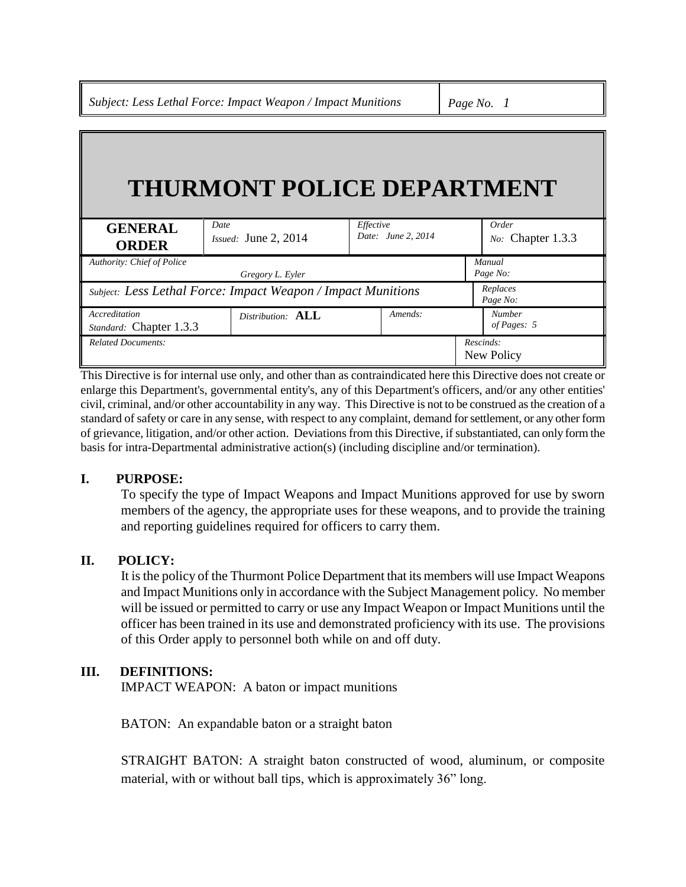*Subject: Less Lethal Force: Impact Weapon / Impact Munitions Page No. 1*

# **THURMONT POLICE DEPARTMENT**

| <b>GENERAL</b><br><b>ORDER</b>                               | Date<br>Issued: June 2, 2014 | Effective<br>Date: June 2, 2014 | Order<br>No: Chapter 1.3.3   |
|--------------------------------------------------------------|------------------------------|---------------------------------|------------------------------|
| Authority: Chief of Police                                   |                              |                                 | Manual                       |
| Gregory L. Eyler                                             |                              |                                 | Page No:                     |
| Subject: Less Lethal Force: Impact Weapon / Impact Munitions |                              |                                 | Replaces<br>Page No:         |
| Accreditation<br>Standard: Chapter 1.3.3                     | Distribution: ALL            | Amends:                         | <b>Number</b><br>of Pages: 5 |
| <b>Related Documents:</b>                                    |                              |                                 | Rescinds:<br>New Policy      |

This Directive is for internal use only, and other than as contraindicated here this Directive does not create or enlarge this Department's, governmental entity's, any of this Department's officers, and/or any other entities' civil, criminal, and/or other accountability in any way. This Directive is not to be construed as the creation of a standard of safety or care in any sense, with respect to any complaint, demand for settlement, or any other form of grievance, litigation, and/or other action. Deviations from this Directive, if substantiated, can only form the basis for intra-Departmental administrative action(s) (including discipline and/or termination).

### **I. PURPOSE:**

To specify the type of Impact Weapons and Impact Munitions approved for use by sworn members of the agency, the appropriate uses for these weapons, and to provide the training and reporting guidelines required for officers to carry them.

#### **II. POLICY:**

It is the policy of the Thurmont Police Department that its members will use Impact Weapons and Impact Munitions only in accordance with the Subject Management policy. No member will be issued or permitted to carry or use any Impact Weapon or Impact Munitions until the officer has been trained in its use and demonstrated proficiency with its use. The provisions of this Order apply to personnel both while on and off duty.

#### **III. DEFINITIONS:**

IMPACT WEAPON: A baton or impact munitions

BATON: An expandable baton or a straight baton

STRAIGHT BATON: A straight baton constructed of wood, aluminum, or composite material, with or without ball tips, which is approximately 36" long.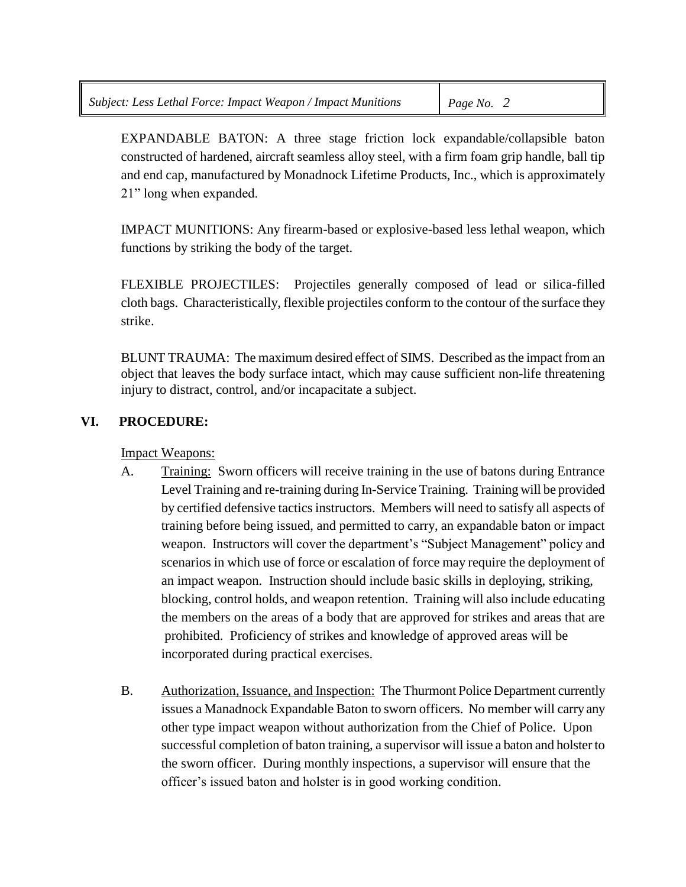EXPANDABLE BATON: A three stage friction lock expandable/collapsible baton constructed of hardened, aircraft seamless alloy steel, with a firm foam grip handle, ball tip and end cap, manufactured by Monadnock Lifetime Products, Inc., which is approximately 21" long when expanded.

IMPACT MUNITIONS: Any firearm-based or explosive-based less lethal weapon, which functions by striking the body of the target.

FLEXIBLE PROJECTILES: Projectiles generally composed of lead or silica-filled cloth bags. Characteristically, flexible projectiles conform to the contour of the surface they strike.

BLUNT TRAUMA: The maximum desired effect of SIMS. Described as the impact from an object that leaves the body surface intact, which may cause sufficient non-life threatening injury to distract, control, and/or incapacitate a subject.

## **VI. PROCEDURE:**

Impact Weapons:

- A. Training: Sworn officers will receive training in the use of batons during Entrance Level Training and re-training during In-Service Training. Training will be provided by certified defensive tactics instructors. Members will need to satisfy all aspects of training before being issued, and permitted to carry, an expandable baton or impact weapon. Instructors will cover the department's "Subject Management" policy and scenarios in which use of force or escalation of force may require the deployment of an impact weapon. Instruction should include basic skills in deploying, striking, blocking, control holds, and weapon retention. Training will also include educating the members on the areas of a body that are approved for strikes and areas that are prohibited. Proficiency of strikes and knowledge of approved areas will be incorporated during practical exercises.
- B. Authorization, Issuance, and Inspection: The Thurmont Police Department currently issues a Manadnock Expandable Baton to sworn officers. No member will carry any other type impact weapon without authorization from the Chief of Police. Upon successful completion of baton training, a supervisor will issue a baton and holster to the sworn officer. During monthly inspections, a supervisor will ensure that the officer's issued baton and holster is in good working condition.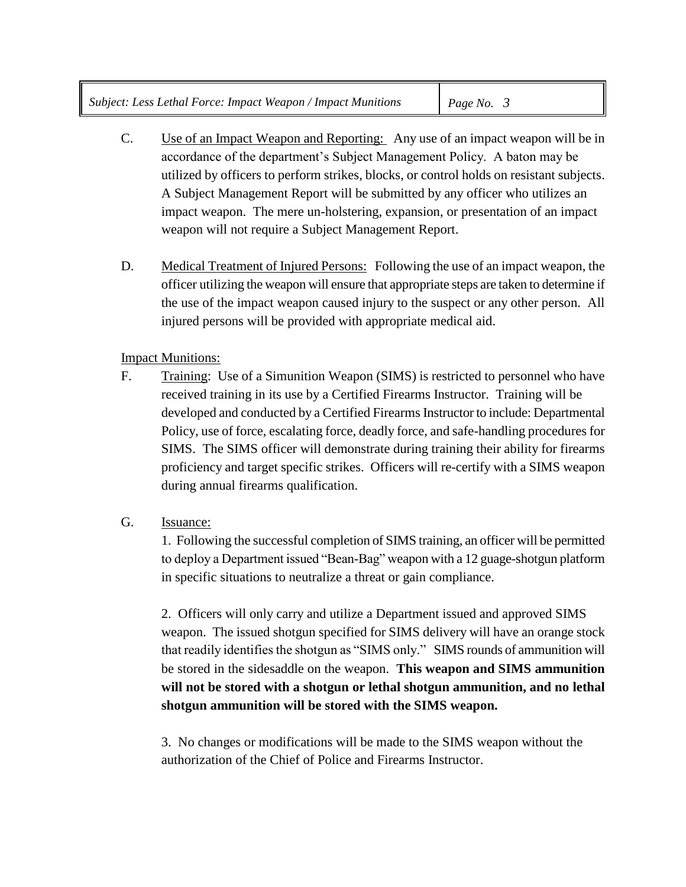- C. Use of an Impact Weapon and Reporting: Any use of an impact weapon will be in accordance of the department's Subject Management Policy. A baton may be utilized by officers to perform strikes, blocks, or control holds on resistant subjects. A Subject Management Report will be submitted by any officer who utilizes an impact weapon. The mere un-holstering, expansion, or presentation of an impact weapon will not require a Subject Management Report.
- D. Medical Treatment of Injured Persons: Following the use of an impact weapon, the officer utilizing the weapon will ensure that appropriate steps are taken to determine if the use of the impact weapon caused injury to the suspect or any other person. All injured persons will be provided with appropriate medical aid.

## Impact Munitions:

- F. Training: Use of a Simunition Weapon (SIMS) is restricted to personnel who have received training in its use by a Certified Firearms Instructor. Training will be developed and conducted by a Certified Firearms Instructor to include: Departmental Policy, use of force, escalating force, deadly force, and safe-handling procedures for SIMS. The SIMS officer will demonstrate during training their ability for firearms proficiency and target specific strikes. Officers will re-certify with a SIMS weapon during annual firearms qualification.
- G. Issuance:

1. Following the successful completion of SIMS training, an officer will be permitted to deploy a Department issued "Bean-Bag" weapon with a 12 guage-shotgun platform in specific situations to neutralize a threat or gain compliance.

2. Officers will only carry and utilize a Department issued and approved SIMS weapon. The issued shotgun specified for SIMS delivery will have an orange stock that readily identifies the shotgun as "SIMS only." SIMS rounds of ammunition will be stored in the sidesaddle on the weapon. **This weapon and SIMS ammunition will not be stored with a shotgun or lethal shotgun ammunition, and no lethal shotgun ammunition will be stored with the SIMS weapon.**

3. No changes or modifications will be made to the SIMS weapon without the authorization of the Chief of Police and Firearms Instructor.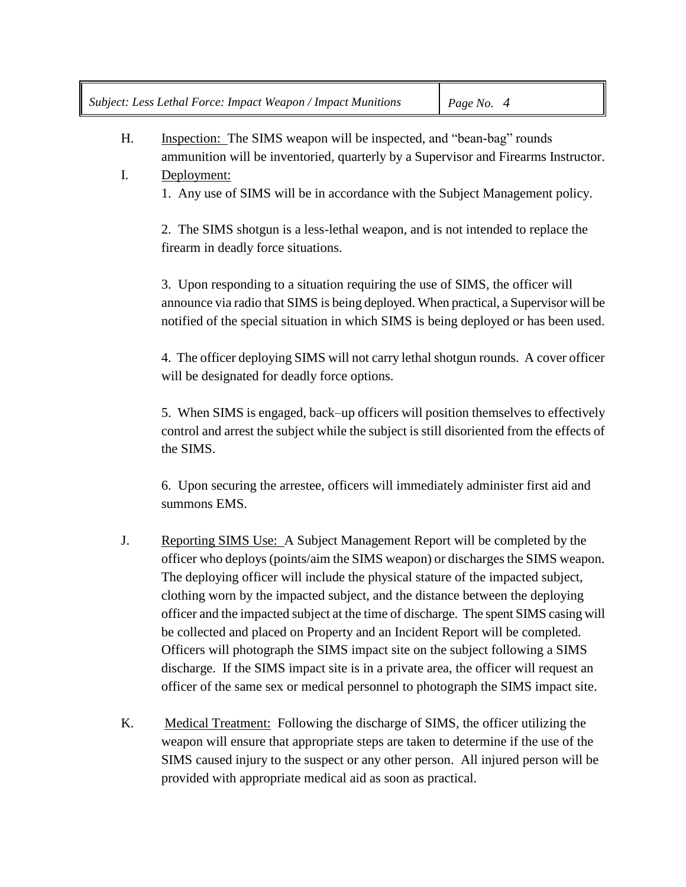H. Inspection: The SIMS weapon will be inspected, and "bean-bag" rounds ammunition will be inventoried, quarterly by a Supervisor and Firearms Instructor.

I. Deployment: 1. Any use of SIMS will be in accordance with the Subject Management policy.

2. The SIMS shotgun is a less-lethal weapon, and is not intended to replace the firearm in deadly force situations.

3. Upon responding to a situation requiring the use of SIMS, the officer will announce via radio that SIMS is being deployed. When practical, a Supervisor will be notified of the special situation in which SIMS is being deployed or has been used.

4. The officer deploying SIMS will not carry lethal shotgun rounds. A cover officer will be designated for deadly force options.

5. When SIMS is engaged, back–up officers will position themselves to effectively control and arrest the subject while the subject is still disoriented from the effects of the SIMS.

6. Upon securing the arrestee, officers will immediately administer first aid and summons EMS.

- J. Reporting SIMS Use: A Subject Management Report will be completed by the officer who deploys (points/aim the SIMS weapon) or discharges the SIMS weapon. The deploying officer will include the physical stature of the impacted subject, clothing worn by the impacted subject, and the distance between the deploying officer and the impacted subject at the time of discharge. The spent SIMS casing will be collected and placed on Property and an Incident Report will be completed. Officers will photograph the SIMS impact site on the subject following a SIMS discharge. If the SIMS impact site is in a private area, the officer will request an officer of the same sex or medical personnel to photograph the SIMS impact site.
- K. Medical Treatment: Following the discharge of SIMS, the officer utilizing the weapon will ensure that appropriate steps are taken to determine if the use of the SIMS caused injury to the suspect or any other person. All injured person will be provided with appropriate medical aid as soon as practical.